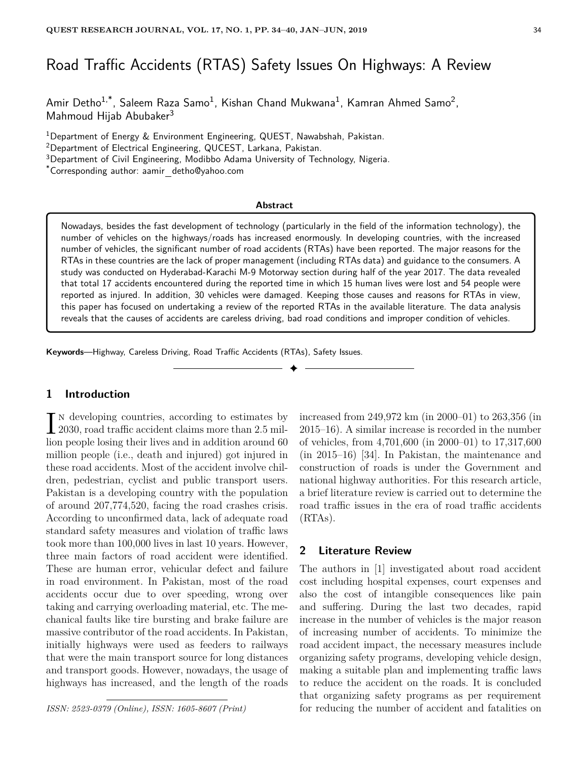# Road Traffic Accidents (RTAS) Safety Issues On Highways: A Review

Amir Detho $^{1,*}$ , Saleem Raza Samo $^1$ , Kishan Chand Mukwana $^1$ , Kamran Ahmed Samo $^2$ , Mahmoud Hijab Abubaker<sup>3</sup>

<sup>1</sup>Department of Energy & Environment Engineering, QUEST, Nawabshah, Pakistan.

<sup>2</sup>Department of Electrical Engineering, QUCEST, Larkana, Pakistan.

<sup>3</sup>Department of Civil Engineering, Modibbo Adama University of Technology, Nigeria.

\*Corresponding author: aamir detho@yahoo.com

#### **Abstract**

Nowadays, besides the fast development of technology (particularly in the field of the information technology), the number of vehicles on the highways/roads has increased enormously. In developing countries, with the increased number of vehicles, the significant number of road accidents (RTAs) have been reported. The major reasons for the RTAs in these countries are the lack of proper management (including RTAs data) and guidance to the consumers. A study was conducted on Hyderabad-Karachi M-9 Motorway section during half of the year 2017. The data revealed that total 17 accidents encountered during the reported time in which 15 human lives were lost and 54 people were reported as injured. In addition, 30 vehicles were damaged. Keeping those causes and reasons for RTAs in view, this paper has focused on undertaking a review of the reported RTAs in the available literature. The data analysis reveals that the causes of accidents are careless driving, bad road conditions and improper condition of vehicles.

✦

**Keywords**—Highway, Careless Driving, Road Traffic Accidents (RTAs), Safety Issues.

# **1 Introduction**

 $\prod_{2030}$ , road traffic accident claims more than 2.5 miln developing countries, according to estimates by lion people losing their lives and in addition around 60 million people (i.e., death and injured) got injured in these road accidents. Most of the accident involve children, pedestrian, cyclist and public transport users. Pakistan is a developing country with the population of around 207,774,520, facing the road crashes crisis. According to unconfirmed data, lack of adequate road standard safety measures and violation of traffic laws took more than 100,000 lives in last 10 years. However, three main factors of road accident were identified. These are human error, vehicular defect and failure in road environment. In Pakistan, most of the road accidents occur due to over speeding, wrong over taking and carrying overloading material, etc. The mechanical faults like tire bursting and brake failure are massive contributor of the road accidents. In Pakistan, initially highways were used as feeders to railways that were the main transport source for long distances and transport goods. However, nowadays, the usage of highways has increased, and the length of the roads

*ISSN: 2523-0379 (Online), ISSN: 1605-8607 (Print)*

increased from 249,972 km (in 2000–01) to 263,356 (in 2015–16). A similar increase is recorded in the number of vehicles, from 4,701,600 (in 2000–01) to 17,317,600 (in 2015–16) [34]. In Pakistan, the maintenance and construction of roads is under the Government and national highway authorities. For this research article, a brief literature review is carried out to determine the road traffic issues in the era of road traffic accidents (RTAs).

# **2 Literature Review**

The authors in [1] investigated about road accident cost including hospital expenses, court expenses and also the cost of intangible consequences like pain and suffering. During the last two decades, rapid increase in the number of vehicles is the major reason of increasing number of accidents. To minimize the road accident impact, the necessary measures include organizing safety programs, developing vehicle design, making a suitable plan and implementing traffic laws to reduce the accident on the roads. It is concluded that organizing safety programs as per requirement for reducing the number of accident and fatalities on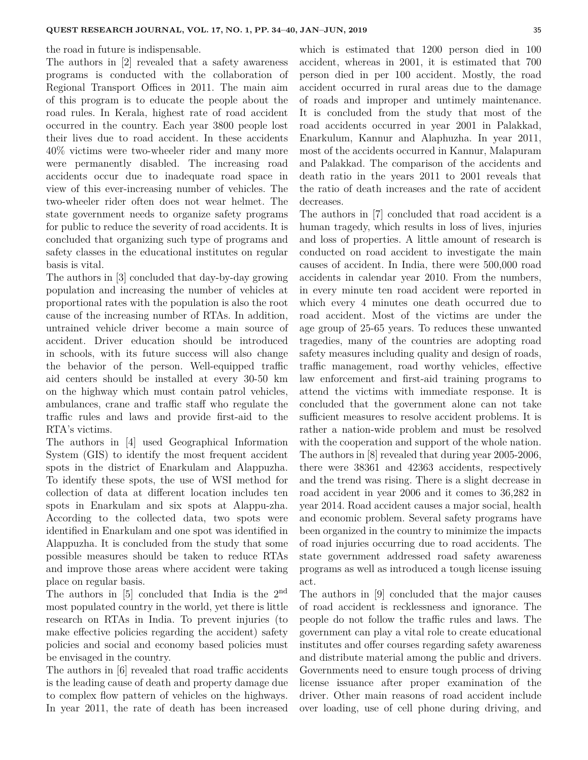the road in future is indispensable.

The authors in [2] revealed that a safety awareness programs is conducted with the collaboration of Regional Transport Offices in 2011. The main aim of this program is to educate the people about the road rules. In Kerala, highest rate of road accident occurred in the country. Each year 3800 people lost their lives due to road accident. In these accidents 40% victims were two-wheeler rider and many more were permanently disabled. The increasing road accidents occur due to inadequate road space in view of this ever-increasing number of vehicles. The two-wheeler rider often does not wear helmet. The state government needs to organize safety programs for public to reduce the severity of road accidents. It is concluded that organizing such type of programs and safety classes in the educational institutes on regular basis is vital.

The authors in [3] concluded that day-by-day growing population and increasing the number of vehicles at proportional rates with the population is also the root cause of the increasing number of RTAs. In addition, untrained vehicle driver become a main source of accident. Driver education should be introduced in schools, with its future success will also change the behavior of the person. Well-equipped traffic aid centers should be installed at every 30-50 km on the highway which must contain patrol vehicles, ambulances, crane and traffic staff who regulate the traffic rules and laws and provide first-aid to the RTA's victims.

The authors in [4] used Geographical Information System (GIS) to identify the most frequent accident spots in the district of Enarkulam and Alappuzha. To identify these spots, the use of WSI method for collection of data at different location includes ten spots in Enarkulam and six spots at Alappu-zha. According to the collected data, two spots were identified in Enarkulam and one spot was identified in Alappuzha. It is concluded from the study that some possible measures should be taken to reduce RTAs and improve those areas where accident were taking place on regular basis.

The authors in  $[5]$  concluded that India is the  $2<sup>nd</sup>$ most populated country in the world, yet there is little research on RTAs in India. To prevent injuries (to make effective policies regarding the accident) safety policies and social and economy based policies must be envisaged in the country.

The authors in [6] revealed that road traffic accidents is the leading cause of death and property damage due to complex flow pattern of vehicles on the highways. In year 2011, the rate of death has been increased which is estimated that 1200 person died in 100 accident, whereas in 2001, it is estimated that 700 person died in per 100 accident. Mostly, the road accident occurred in rural areas due to the damage of roads and improper and untimely maintenance. It is concluded from the study that most of the road accidents occurred in year 2001 in Palakkad, Enarkulum, Kannur and Alaphuzha. In year 2011, most of the accidents occurred in Kannur, Malapuram and Palakkad. The comparison of the accidents and death ratio in the years 2011 to 2001 reveals that the ratio of death increases and the rate of accident decreases.

The authors in [7] concluded that road accident is a human tragedy, which results in loss of lives, injuries and loss of properties. A little amount of research is conducted on road accident to investigate the main causes of accident. In India, there were 500,000 road accidents in calendar year 2010. From the numbers, in every minute ten road accident were reported in which every 4 minutes one death occurred due to road accident. Most of the victims are under the age group of 25-65 years. To reduces these unwanted tragedies, many of the countries are adopting road safety measures including quality and design of roads, traffic management, road worthy vehicles, effective law enforcement and first-aid training programs to attend the victims with immediate response. It is concluded that the government alone can not take sufficient measures to resolve accident problems. It is rather a nation-wide problem and must be resolved with the cooperation and support of the whole nation. The authors in [8] revealed that during year 2005-2006, there were 38361 and 42363 accidents, respectively and the trend was rising. There is a slight decrease in road accident in year 2006 and it comes to 36,282 in year 2014. Road accident causes a major social, health and economic problem. Several safety programs have been organized in the country to minimize the impacts of road injuries occurring due to road accidents. The state government addressed road safety awareness programs as well as introduced a tough license issuing act.

The authors in [9] concluded that the major causes of road accident is recklessness and ignorance. The people do not follow the traffic rules and laws. The government can play a vital role to create educational institutes and offer courses regarding safety awareness and distribute material among the public and drivers. Governments need to ensure tough process of driving license issuance after proper examination of the driver. Other main reasons of road accident include over loading, use of cell phone during driving, and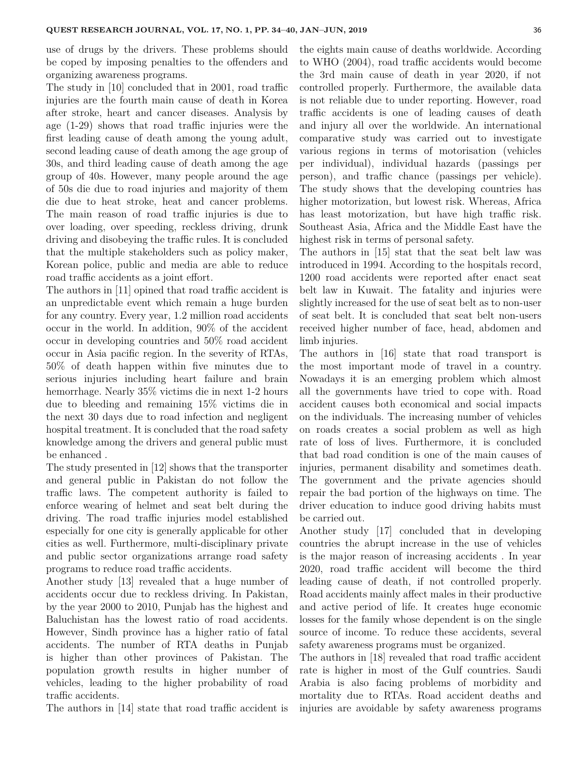use of drugs by the drivers. These problems should be coped by imposing penalties to the offenders and organizing awareness programs.

The study in [10] concluded that in 2001, road traffic injuries are the fourth main cause of death in Korea after stroke, heart and cancer diseases. Analysis by age (1-29) shows that road traffic injuries were the first leading cause of death among the young adult, second leading cause of death among the age group of 30s, and third leading cause of death among the age group of 40s. However, many people around the age of 50s die due to road injuries and majority of them die due to heat stroke, heat and cancer problems. The main reason of road traffic injuries is due to over loading, over speeding, reckless driving, drunk driving and disobeying the traffic rules. It is concluded that the multiple stakeholders such as policy maker, Korean police, public and media are able to reduce road traffic accidents as a joint effort.

The authors in [11] opined that road traffic accident is an unpredictable event which remain a huge burden for any country. Every year, 1.2 million road accidents occur in the world. In addition, 90% of the accident occur in developing countries and 50% road accident occur in Asia pacific region. In the severity of RTAs, 50% of death happen within five minutes due to serious injuries including heart failure and brain hemorrhage. Nearly 35% victims die in next 1-2 hours due to bleeding and remaining 15% victims die in the next 30 days due to road infection and negligent hospital treatment. It is concluded that the road safety knowledge among the drivers and general public must be enhanced .

The study presented in [12] shows that the transporter and general public in Pakistan do not follow the traffic laws. The competent authority is failed to enforce wearing of helmet and seat belt during the driving. The road traffic injuries model established especially for one city is generally applicable for other cities as well. Furthermore, multi-disciplinary private and public sector organizations arrange road safety programs to reduce road traffic accidents.

Another study [13] revealed that a huge number of accidents occur due to reckless driving. In Pakistan, by the year 2000 to 2010, Punjab has the highest and Baluchistan has the lowest ratio of road accidents. However, Sindh province has a higher ratio of fatal accidents. The number of RTA deaths in Punjab is higher than other provinces of Pakistan. The population growth results in higher number of vehicles, leading to the higher probability of road traffic accidents.

The authors in [14] state that road traffic accident is

the eights main cause of deaths worldwide. According to WHO (2004), road traffic accidents would become the 3rd main cause of death in year 2020, if not controlled properly. Furthermore, the available data is not reliable due to under reporting. However, road traffic accidents is one of leading causes of death and injury all over the worldwide. An international comparative study was carried out to investigate various regions in terms of motorisation (vehicles per individual), individual hazards (passings per person), and traffic chance (passings per vehicle). The study shows that the developing countries has higher motorization, but lowest risk. Whereas, Africa has least motorization, but have high traffic risk. Southeast Asia, Africa and the Middle East have the highest risk in terms of personal safety.

The authors in [15] stat that the seat belt law was introduced in 1994. According to the hospitals record, 1200 road accidents were reported after enact seat belt law in Kuwait. The fatality and injuries were slightly increased for the use of seat belt as to non-user of seat belt. It is concluded that seat belt non-users received higher number of face, head, abdomen and limb injuries.

The authors in [16] state that road transport is the most important mode of travel in a country. Nowadays it is an emerging problem which almost all the governments have tried to cope with. Road accident causes both economical and social impacts on the individuals. The increasing number of vehicles on roads creates a social problem as well as high rate of loss of lives. Furthermore, it is concluded that bad road condition is one of the main causes of injuries, permanent disability and sometimes death. The government and the private agencies should repair the bad portion of the highways on time. The driver education to induce good driving habits must be carried out.

Another study [17] concluded that in developing countries the abrupt increase in the use of vehicles is the major reason of increasing accidents . In year 2020, road traffic accident will become the third leading cause of death, if not controlled properly. Road accidents mainly affect males in their productive and active period of life. It creates huge economic losses for the family whose dependent is on the single source of income. To reduce these accidents, several safety awareness programs must be organized.

The authors in [18] revealed that road traffic accident rate is higher in most of the Gulf countries. Saudi Arabia is also facing problems of morbidity and mortality due to RTAs. Road accident deaths and injuries are avoidable by safety awareness programs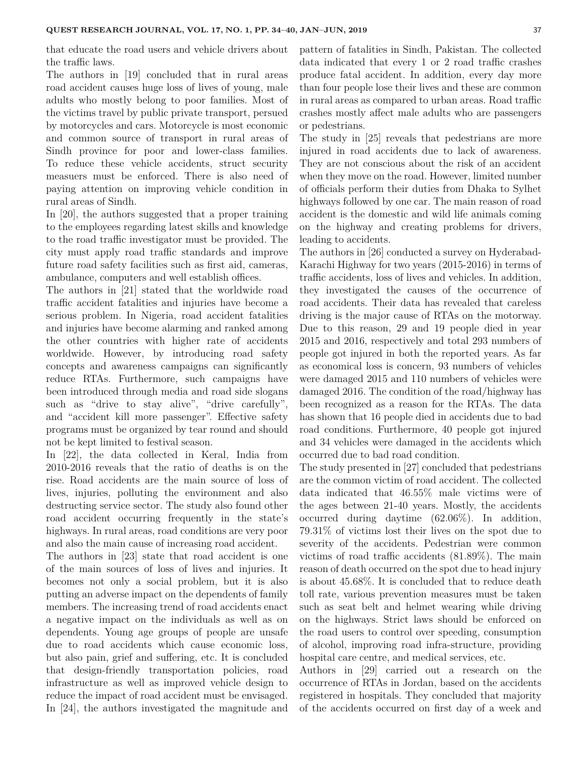that educate the road users and vehicle drivers about the traffic laws.

The authors in [19] concluded that in rural areas road accident causes huge loss of lives of young, male adults who mostly belong to poor families. Most of the victims travel by public private transport, persued by motorcycles and cars. Motorcycle is most economic and common source of transport in rural areas of Sindh province for poor and lower-class families. To reduce these vehicle accidents, struct security measuers must be enforced. There is also need of paying attention on improving vehicle condition in rural areas of Sindh.

In [20], the authors suggested that a proper training to the employees regarding latest skills and knowledge to the road traffic investigator must be provided. The city must apply road traffic standards and improve future road safety facilities such as first aid, cameras, ambulance, computers and well establish offices.

The authors in [21] stated that the worldwide road traffic accident fatalities and injuries have become a serious problem. In Nigeria, road accident fatalities and injuries have become alarming and ranked among the other countries with higher rate of accidents worldwide. However, by introducing road safety concepts and awareness campaigns can significantly reduce RTAs. Furthermore, such campaigns have been introduced through media and road side slogans such as "drive to stay alive", "drive carefully", and "accident kill more passenger". Effective safety programs must be organized by tear round and should not be kept limited to festival season.

In [22], the data collected in Keral, India from 2010-2016 reveals that the ratio of deaths is on the rise. Road accidents are the main source of loss of lives, injuries, polluting the environment and also destructing service sector. The study also found other road accident occurring frequently in the state's highways. In rural areas, road conditions are very poor and also the main cause of increasing road accident.

The authors in [23] state that road accident is one of the main sources of loss of lives and injuries. It becomes not only a social problem, but it is also putting an adverse impact on the dependents of family members. The increasing trend of road accidents enact a negative impact on the individuals as well as on dependents. Young age groups of people are unsafe due to road accidents which cause economic loss, but also pain, grief and suffering, etc. It is concluded that design-friendly transportation policies, road infrastructure as well as improved vehicle design to reduce the impact of road accident must be envisaged. In [24], the authors investigated the magnitude and pattern of fatalities in Sindh, Pakistan. The collected data indicated that every 1 or 2 road traffic crashes produce fatal accident. In addition, every day more than four people lose their lives and these are common in rural areas as compared to urban areas. Road traffic crashes mostly affect male adults who are passengers or pedestrians.

The study in [25] reveals that pedestrians are more injured in road accidents due to lack of awareness. They are not conscious about the risk of an accident when they move on the road. However, limited number of officials perform their duties from Dhaka to Sylhet highways followed by one car. The main reason of road accident is the domestic and wild life animals coming on the highway and creating problems for drivers, leading to accidents.

The authors in [26] conducted a survey on Hyderabad-Karachi Highway for two years (2015-2016) in terms of traffic accidents, loss of lives and vehicles. In addition, they investigated the causes of the occurrence of road accidents. Their data has revealed that careless driving is the major cause of RTAs on the motorway. Due to this reason, 29 and 19 people died in year 2015 and 2016, respectively and total 293 numbers of people got injured in both the reported years. As far as economical loss is concern, 93 numbers of vehicles were damaged 2015 and 110 numbers of vehicles were damaged 2016. The condition of the road/highway has been recognized as a reason for the RTAs. The data has shown that 16 people died in accidents due to bad road conditions. Furthermore, 40 people got injured and 34 vehicles were damaged in the accidents which occurred due to bad road condition.

The study presented in [27] concluded that pedestrians are the common victim of road accident. The collected data indicated that 46.55% male victims were of the ages between 21-40 years. Mostly, the accidents occurred during daytime (62.06%). In addition, 79.31% of victims lost their lives on the spot due to severity of the accidents. Pedestrian were common victims of road traffic accidents (81.89%). The main reason of death occurred on the spot due to head injury is about 45.68%. It is concluded that to reduce death toll rate, various prevention measures must be taken such as seat belt and helmet wearing while driving on the highways. Strict laws should be enforced on the road users to control over speeding, consumption of alcohol, improving road infra-structure, providing hospital care centre, and medical services, etc.

Authors in [29] carried out a research on the occurrence of RTAs in Jordan, based on the accidents registered in hospitals. They concluded that majority of the accidents occurred on first day of a week and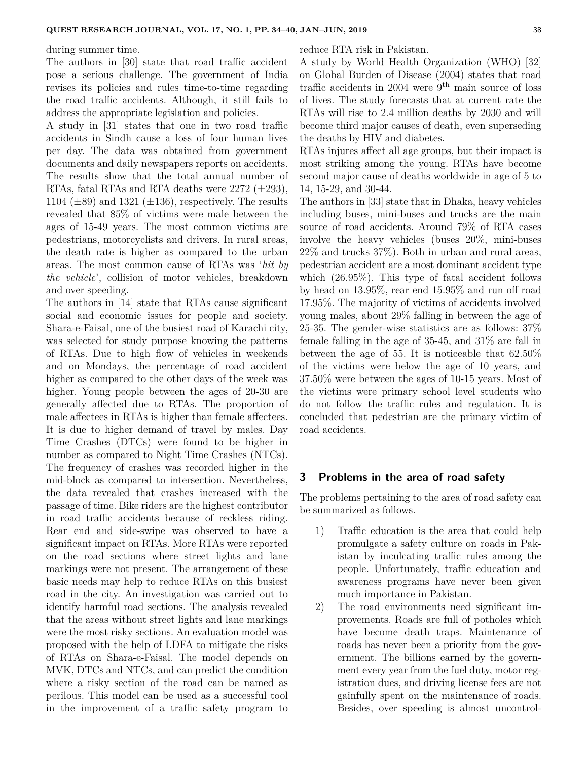during summer time.

The authors in [30] state that road traffic accident pose a serious challenge. The government of India revises its policies and rules time-to-time regarding the road traffic accidents. Although, it still fails to address the appropriate legislation and policies.

A study in [31] states that one in two road traffic accidents in Sindh cause a loss of four human lives per day. The data was obtained from government documents and daily newspapers reports on accidents. The results show that the total annual number of RTAs, fatal RTAs and RTA deaths were  $2272$  ( $\pm 293$ ), 1104 ( $\pm$ 89) and 1321 ( $\pm$ 136), respectively. The results revealed that 85% of victims were male between the ages of 15-49 years. The most common victims are pedestrians, motorcyclists and drivers. In rural areas, the death rate is higher as compared to the urban areas. The most common cause of RTAs was '*hit by the vehicle*', collision of motor vehicles, breakdown and over speeding.

The authors in [14] state that RTAs cause significant social and economic issues for people and society. Shara-e-Faisal, one of the busiest road of Karachi city, was selected for study purpose knowing the patterns of RTAs. Due to high flow of vehicles in weekends and on Mondays, the percentage of road accident higher as compared to the other days of the week was higher. Young people between the ages of 20-30 are generally affected due to RTAs. The proportion of male affectees in RTAs is higher than female affectees. It is due to higher demand of travel by males. Day Time Crashes (DTCs) were found to be higher in number as compared to Night Time Crashes (NTCs). The frequency of crashes was recorded higher in the mid-block as compared to intersection. Nevertheless, the data revealed that crashes increased with the passage of time. Bike riders are the highest contributor in road traffic accidents because of reckless riding. Rear end and side-swipe was observed to have a significant impact on RTAs. More RTAs were reported on the road sections where street lights and lane markings were not present. The arrangement of these basic needs may help to reduce RTAs on this busiest road in the city. An investigation was carried out to identify harmful road sections. The analysis revealed that the areas without street lights and lane markings were the most risky sections. An evaluation model was proposed with the help of LDFA to mitigate the risks of RTAs on Shara-e-Faisal. The model depends on MVK, DTCs and NTCs, and can predict the condition where a risky section of the road can be named as perilous. This model can be used as a successful tool in the improvement of a traffic safety program to reduce RTA risk in Pakistan.

A study by World Health Organization (WHO) [32] on Global Burden of Disease (2004) states that road traffic accidents in 2004 were  $9<sup>th</sup>$  main source of loss of lives. The study forecasts that at current rate the RTAs will rise to 2.4 million deaths by 2030 and will become third major causes of death, even superseding the deaths by HIV and diabetes.

RTAs injures affect all age groups, but their impact is most striking among the young. RTAs have become second major cause of deaths worldwide in age of 5 to 14, 15-29, and 30-44.

The authors in [33] state that in Dhaka, heavy vehicles including buses, mini-buses and trucks are the main source of road accidents. Around 79% of RTA cases involve the heavy vehicles (buses 20%, mini-buses 22% and trucks 37%). Both in urban and rural areas, pedestrian accident are a most dominant accident type which (26.95%). This type of fatal accident follows by head on 13.95%, rear end 15.95% and run off road 17.95%. The majority of victims of accidents involved young males, about 29% falling in between the age of 25-35. The gender-wise statistics are as follows: 37% female falling in the age of 35-45, and 31% are fall in between the age of 55. It is noticeable that 62.50% of the victims were below the age of 10 years, and 37.50% were between the ages of 10-15 years. Most of the victims were primary school level students who do not follow the traffic rules and regulation. It is concluded that pedestrian are the primary victim of road accidents.

### **3 Problems in the area of road safety**

The problems pertaining to the area of road safety can be summarized as follows.

- 1) Traffic education is the area that could help promulgate a safety culture on roads in Pakistan by inculcating traffic rules among the people. Unfortunately, traffic education and awareness programs have never been given much importance in Pakistan.
- 2) The road environments need significant improvements. Roads are full of potholes which have become death traps. Maintenance of roads has never been a priority from the government. The billions earned by the government every year from the fuel duty, motor registration dues, and driving license fees are not gainfully spent on the maintenance of roads. Besides, over speeding is almost uncontrol-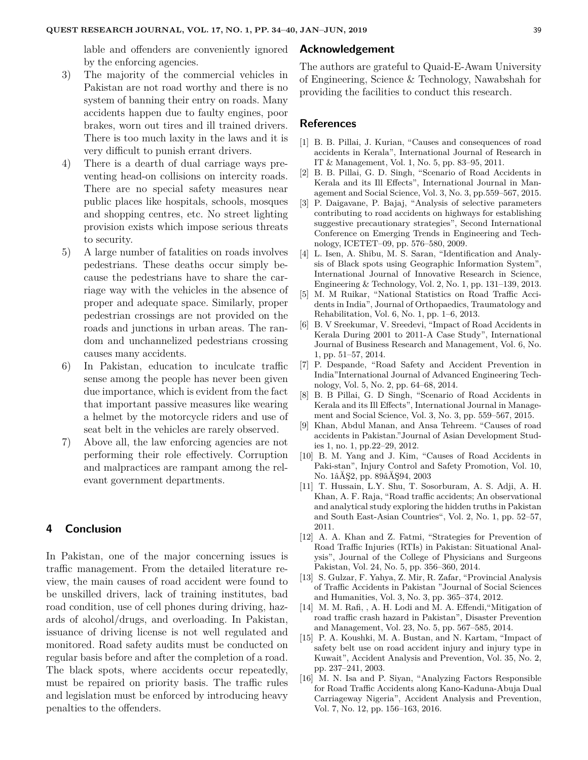lable and offenders are conveniently ignored by the enforcing agencies.

- 3) The majority of the commercial vehicles in Pakistan are not road worthy and there is no system of banning their entry on roads. Many accidents happen due to faulty engines, poor brakes, worn out tires and ill trained drivers. There is too much laxity in the laws and it is very difficult to punish errant drivers.
- 4) There is a dearth of dual carriage ways preventing head-on collisions on intercity roads. There are no special safety measures near public places like hospitals, schools, mosques and shopping centres, etc. No street lighting provision exists which impose serious threats to security.
- 5) A large number of fatalities on roads involves pedestrians. These deaths occur simply because the pedestrians have to share the carriage way with the vehicles in the absence of proper and adequate space. Similarly, proper pedestrian crossings are not provided on the roads and junctions in urban areas. The random and unchannelized pedestrians crossing causes many accidents.
- 6) In Pakistan, education to inculcate traffic sense among the people has never been given due importance, which is evident from the fact that important passive measures like wearing a helmet by the motorcycle riders and use of seat belt in the vehicles are rarely observed.
- 7) Above all, the law enforcing agencies are not performing their role effectively. Corruption and malpractices are rampant among the relevant government departments.

# **4 Conclusion**

In Pakistan, one of the major concerning issues is traffic management. From the detailed literature review, the main causes of road accident were found to be unskilled drivers, lack of training institutes, bad road condition, use of cell phones during driving, hazards of alcohol/drugs, and overloading. In Pakistan, issuance of driving license is not well regulated and monitored. Road safety audits must be conducted on regular basis before and after the completion of a road. The black spots, where accidents occur repeatedly, must be repaired on priority basis. The traffic rules and legislation must be enforced by introducing heavy penalties to the offenders.

#### **Acknowledgement**

The authors are grateful to Quaid-E-Awam University of Engineering, Science & Technology, Nawabshah for providing the facilities to conduct this research.

#### **References**

- [1] B. B. Pillai, J. Kurian, "Causes and consequences of road accidents in Kerala", International Journal of Research in IT & Management, Vol. 1, No. 5, pp. 83–95, 2011.
- [2] B. B. Pillai, G. D. Singh, "Scenario of Road Accidents in Kerala and its Ill Effects", International Journal in Management and Social Science, Vol. 3, No. 3, pp.559–567, 2015.
- [3] P. Daigavane, P. Bajaj, "Analysis of selective parameters contributing to road accidents on highways for establishing suggestive precautionary strategies", Second International Conference on Emerging Trends in Engineering and Technology, ICETET–09, pp. 576–580, 2009.
- [4] L. Isen, A. Shibu, M. S. Saran, "Identification and Analysis of Black spots using Geographic Information System", International Journal of Innovative Research in Science, Engineering & Technology, Vol. 2, No. 1, pp. 131–139, 2013.
- [5] M. M Ruikar, "National Statistics on Road Traffic Accidents in India", Journal of Orthopaedics, Traumatology and Rehabilitation, Vol. 6, No. 1, pp. 1–6, 2013.
- [6] B. V Sreekumar, V. Sreedevi, "Impact of Road Accidents in Kerala During 2001 to 2011-A Case Study", International Journal of Business Research and Management, Vol. 6, No. 1, pp. 51–57, 2014.
- [7] P. Despande, "Road Safety and Accident Prevention in India"International Journal of Advanced Engineering Technology, Vol. 5, No. 2, pp. 64–68, 2014.
- [8] B. B Pillai, G. D Singh, "Scenario of Road Accidents in Kerala and its Ill Effects", International Journal in Management and Social Science, Vol. 3, No. 3, pp. 559–567, 2015.
- [9] Khan, Abdul Manan, and Ansa Tehreem. "Causes of road accidents in Pakistan."Journal of Asian Development Studies 1, no. 1, pp.22–29, 2012.
- [10] B. M. Yang and J. Kim, "Causes of Road Accidents in Paki-stan", Injury Control and Safety Promotion, Vol. 10, No. 1âĂŞ2, pp. 89âĂŞ94, 2003
- [11] T. Hussain, L.Y. Shu, T. Sosorburam, A. S. Adji, A. H. Khan, A. F. Raja, "Road traffic accidents; An observational and analytical study exploring the hidden truths in Pakistan and South East-Asian Countries", Vol. 2, No. 1, pp. 52–57, 2011.
- [12] A. A. Khan and Z. Fatmi, "Strategies for Prevention of Road Traffic Injuries (RTIs) in Pakistan: Situational Analysis", Journal of the College of Physicians and Surgeons Pakistan, Vol. 24, No. 5, pp. 356–360, 2014.
- [13] S. Gulzar, F. Yahya, Z. Mir, R. Zafar, "Provincial Analysis of Traffic Accidents in Pakistan "Journal of Social Sciences and Humanities, Vol. 3, No. 3, pp. 365–374, 2012.
- [14] M. M. Rafi, , A. H. Lodi and M. A. Effendi, "Mitigation of road traffic crash hazard in Pakistan", Disaster Prevention and Management, Vol. 23, No. 5, pp. 567–585, 2014.
- [15] P. A. Koushki, M. A. Bustan, and N. Kartam, "Impact of safety belt use on road accident injury and injury type in Kuwait", Accident Analysis and Prevention, Vol. 35, No. 2, pp. 237–241, 2003.
- [16] M. N. Isa and P. Siyan, "Analyzing Factors Responsible for Road Traffic Accidents along Kano-Kaduna-Abuja Dual Carriageway Nigeria", Accident Analysis and Prevention, Vol. 7, No. 12, pp. 156–163, 2016.